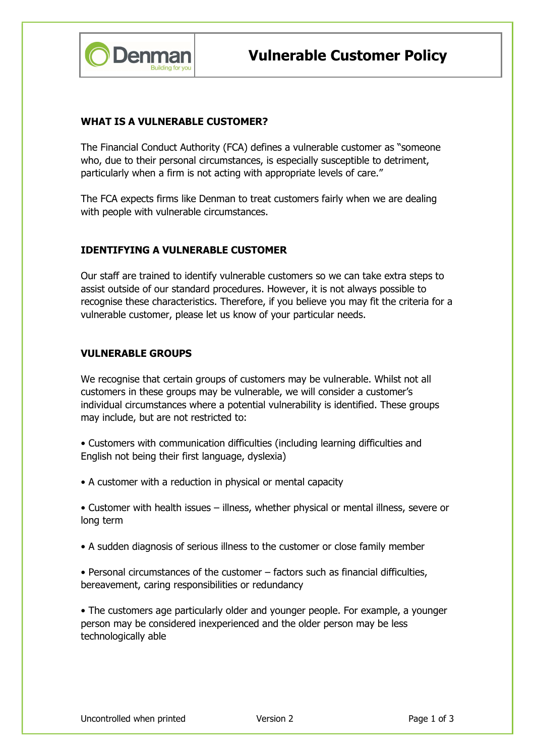

### WHAT IS A VULNERABLE CUSTOMER?

The Financial Conduct Authority (FCA) defines a vulnerable customer as "someone who, due to their personal circumstances, is especially susceptible to detriment, particularly when a firm is not acting with appropriate levels of care."

The FCA expects firms like Denman to treat customers fairly when we are dealing with people with vulnerable circumstances.

#### IDENTIFYING A VULNERABLE CUSTOMER

Our staff are trained to identify vulnerable customers so we can take extra steps to assist outside of our standard procedures. However, it is not always possible to recognise these characteristics. Therefore, if you believe you may fit the criteria for a vulnerable customer, please let us know of your particular needs.

#### VULNERABLE GROUPS

We recognise that certain groups of customers may be vulnerable. Whilst not all customers in these groups may be vulnerable, we will consider a customer's individual circumstances where a potential vulnerability is identified. These groups may include, but are not restricted to:

- Customers with communication difficulties (including learning difficulties and English not being their first language, dyslexia)
- A customer with a reduction in physical or mental capacity

• Customer with health issues – illness, whether physical or mental illness, severe or long term

- A sudden diagnosis of serious illness to the customer or close family member
- Personal circumstances of the customer factors such as financial difficulties, bereavement, caring responsibilities or redundancy

• The customers age particularly older and younger people. For example, a younger person may be considered inexperienced and the older person may be less technologically able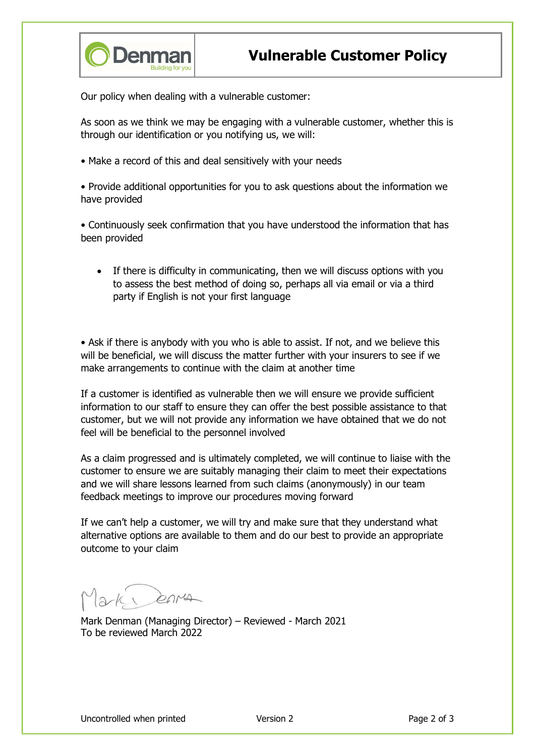

Our policy when dealing with a vulnerable customer:

As soon as we think we may be engaging with a vulnerable customer, whether this is through our identification or you notifying us, we will:

• Make a record of this and deal sensitively with your needs

• Provide additional opportunities for you to ask questions about the information we have provided

• Continuously seek confirmation that you have understood the information that has been provided

 If there is difficulty in communicating, then we will discuss options with you to assess the best method of doing so, perhaps all via email or via a third party if English is not your first language

• Ask if there is anybody with you who is able to assist. If not, and we believe this will be beneficial, we will discuss the matter further with your insurers to see if we make arrangements to continue with the claim at another time

If a customer is identified as vulnerable then we will ensure we provide sufficient information to our staff to ensure they can offer the best possible assistance to that customer, but we will not provide any information we have obtained that we do not feel will be beneficial to the personnel involved

As a claim progressed and is ultimately completed, we will continue to liaise with the customer to ensure we are suitably managing their claim to meet their expectations and we will share lessons learned from such claims (anonymously) in our team feedback meetings to improve our procedures moving forward

If we can't help a customer, we will try and make sure that they understand what alternative options are available to them and do our best to provide an appropriate outcome to your claim

 $2k$  enver

Mark Denman (Managing Director) – Reviewed - March 2021 To be reviewed March 2022